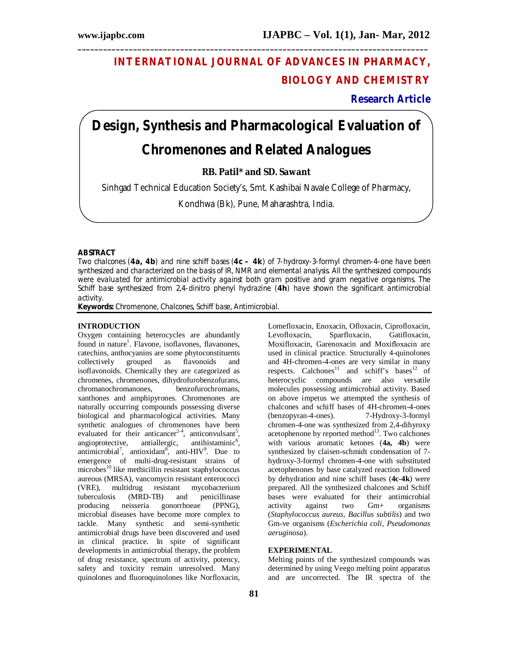## **INTERNATIONAL JOURNAL OF ADVANCES IN PHARMACY, BIOLOGY AND CHEMISTRY**

**Research Article**

# **Design, Synthesis and Pharmacological Evaluation of Chromenones and Related Analogues**

**\_\_\_\_\_\_\_\_\_\_\_\_\_\_\_\_\_\_\_\_\_\_\_\_\_\_\_\_\_\_\_\_\_\_\_\_\_\_\_\_\_\_\_\_\_\_\_\_\_\_\_\_\_\_\_\_\_\_\_\_\_\_\_\_\_\_\_\_\_\_\_\_\_\_\_\_\_\_\_\_\_\_**

**RB. Patil\* and SD. Sawant**

Sinhgad Technical Education Society's, Smt. Kashibai Navale College of Pharmacy,

Kondhwa (Bk), Pune, Maharashtra, India.

#### **ABSTRACT**

Two chalcones (**4a, 4b**) and nine schiff bases (**4c – 4k**) of 7-hydroxy-3-formyl chromen-4-one have been synthesized and characterized on the basis of IR, NMR and elemental analysis. All the synthesized compounds were evaluated for antimicrobial activity against both gram positive and gram negative organisms. The Schiff base synthesized from 2,4-dinitro phenyl hydrazine (4h) have shown the significant antimicrobial activity.

**Keywords:** Chromenone, Chalcones, Schiff base, Antimicrobial.

#### **INTRODUCTION**

Oxygen containing heterocycles are abundantly found in nature<sup>1</sup>. Flavone, isoflavones, flavanones, catechins, anthocyanins are some phytoconstituents collectively grouped as flavonoids and isoflavonoids. Chemically they are categorized as chromenes, chromenones, dihydrofurobenzofurans, chromanochromanones. xanthones and amphipyrones. Chromenones are naturally occurring compounds possessing diverse biological and pharmacological activities. Many synthetic analogues of chromenones have been evaluated for their anticancer<sup>2-4</sup>, anticonvulsant<sup>5</sup>, angioprotective, antiallergic, antihistaminic<sup>6</sup>, antimicrobial<sup>7</sup>, antioxidant<sup>8</sup>, anti-HIV<sup>9</sup>. Due to emergence of multi-drug-resistant strains of  $\frac{10}{2}$ like methicillin resistant staphylococcus aureous (MRSA), vancomycin resistant enterococci (VRE), multidrug resistant mycobacterium tuberculosis (MRD-TB) and penicillinase producing neisseria gonorrhoeae (PPNG), microbial diseases have become more complex to tackle. Many synthetic and semi-synthetic antimicrobial drugs have been discovered and used in clinical practice. In spite of significant developments in antimicrobial therapy, the problem of drug resistance, spectrum of activity, potency, safety and toxicity remain unresolved. Many quinolones and fluoroquinolones like Norfloxacin,

Lomefloxacin, Enoxacin, Ofloxacin, Ciprofloxacin, Levofloxacin, Sparfloxacin, Gatifloxacin, Moxifloxacin, Garenoxacin and Moxifloxacin are used in clinical practice. Structurally 4-quinolones and 4H-chromen-4-ones are very similar in many respects. Calchones<sup>11</sup> and schiff's bases<sup>12</sup> of heterocyclic compounds are also versatile molecules possessing antimicrobial activity. Based on above impetus we attempted the synthesis of chalcones and schiff bases of 4H-chromen-4-ones<br>(benzopyran-4-ones). 7-Hydroxy-3-formyl (benzopyran-4-ones). chromen-4-one was synthesized from 2,4-dihyroxy acetophenone by reported method<sup>13</sup>. Two calchones with various aromatic ketones (**4a, 4b**) were synthesized by claisen-schmidt condensation of 7 hydroxy-3-formyl chromen-4-one with substituted acetophenones by base catalyzed reaction followed by dehydration and nine schiff bases (**4c-4k**) were prepared. All the synthesized chalcones and Schiff bases were evaluated for their antimicrobial activity against two Gm+ organisms (*Staphylococcus aureus, Bacillus subtilis*) and two Gm-ve organisms (*Escherichia coli, Pseudomonas aeruginosa*).

#### **EXPERIMENTAL**

Melting points of the synthesized compounds was determined by using Veego melting point apparatus and are uncorrected. The IR spectra of the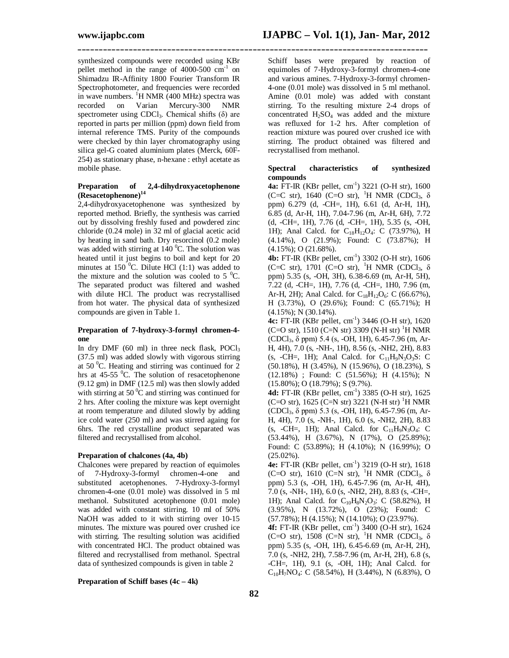synthesized compounds were recorded using KBr pellet method in the range of  $4000-500$  cm<sup>-1</sup> on Shimadzu IR-Affinity 1800 Fourier Transform IR Spectrophotometer, and frequencies were recorded in wave numbers. <sup>1</sup>H NMR (400 MHz) spectra was<br>recorded on Varian Mercury-300 NMR Mercury-300 NMR spectrometer using CDCl<sub>3</sub>. Chemical shifts  $(\delta)$  are reported in parts per million (ppm) down field from internal reference TMS. Purity of the compounds were checked by thin layer chromatography using silica gel-G coated aluminium plates (Merck, 60F-254) as stationary phase, n-hexane : ethyl acetate as mobile phase.

#### **Preparation of 2,4-dihydroxyacetophenone (Resacetophenone)<sup>14</sup>**

2,4-dihydroxyacetophenone was synthesized by reported method. Briefly, the synthesis was carried out by dissolving freshly fused and powdered zinc chloride (0.24 mole) in 32 ml of glacial acetic acid by heating in sand bath. Dry resorcinol (0.2 mole) was added with stirring at  $140<sup>0</sup>C$ . The solution was heated until it just begins to boil and kept for 20 minutes at  $150^{\circ}$ C. Dilute HCl (1:1) was added to the mixture and the solution was cooled to  $5^{\circ}$ C. The separated product was filtered and washed with dilute HCl. The product was recrystallised from hot water. The physical data of synthesized compounds are given in Table 1.

#### **Preparation of 7-hydroxy-3-formyl chromen-4 one**

In dry DMF  $(60 \text{ ml})$  in three neck flask, POCl<sub>3</sub> (37.5 ml) was added slowly with vigorous stirring at  $50^{\circ}$ C. Heating and stirring was continued for 2 hrs at  $45-55$  <sup>o</sup>C. The solution of resacetophenone (9.12 gm) in DMF (12.5 ml) was then slowly added with stirring at 50 $\mathrm{^0C}$  and stirring was continued for 2 hrs. After cooling the mixture was kept overnight at room temperature and diluted slowly by adding ice cold water (250 ml) and was stirred againg for 6hrs. The red crystalline product separated was filtered and recrystallised from alcohol.

#### **Preparation of chalcones (4a, 4b)**

Chalcones were prepared by reaction of equimoles of 7-Hydroxy-3-formyl chromen-4-one and substituted acetophenones. 7-Hydroxy-3-formyl chromen-4-one (0.01 mole) was dissolved in 5 ml methanol. Substituted acetophenone (0.01 mole) was added with constant stirring. 10 ml of 50% NaOH was added to it with stirring over 10-15 minutes. The mixture was poured over crushed ice with stirring. The resulting solution was acidified with concentrated HCl. The product obtained was filtered and recrystallised from methanol. Spectral data of synthesized compounds is given in table 2

**\_\_\_\_\_\_\_\_\_\_\_\_\_\_\_\_\_\_\_\_\_\_\_\_\_\_\_\_\_\_\_\_\_\_\_\_\_\_\_\_\_\_\_\_\_\_\_\_\_\_\_\_\_\_\_\_\_\_\_\_\_\_\_\_\_\_\_\_\_\_\_\_\_\_\_\_\_\_\_\_\_\_**

Schiff bases were prepared by reaction of equimoles of 7-Hydroxy-3-formyl chromen-4-one and various amines. 7-Hydroxy-3-formyl chromen-4-one (0.01 mole) was dissolved in 5 ml methanol. Amine (0.01 mole) was added with constant stirring. To the resulting mixture 2-4 drops of concentrated  $H_2SO_4$  was added and the mixture was refluxed for 1-2 hrs. After completion of reaction mixture was poured over crushed ice with stirring. The product obtained was filtered and recrystallised from methanol.

#### **Spectral characteristics of synthesized compounds**

**4a:** FT-IR (KBr pellet, cm<sup>-1</sup>) 3221 (O-H str), 1600 (C=C str), 1640 (C=O str), <sup>1</sup>H NMR (CDCl<sub>3</sub>,  $\delta$ ppm) 6.279 (d, -CH=, 1H), 6.61 (d, Ar-H, 1H), 6.85 (d, Ar-H, 1H), 7.04-7.96 (m, Ar-H, 6H), 7.72 (d, -CH=, 1H), 7.76 (d, -CH=, 1H), 5.35 (s, -OH, 1H); Anal Calcd. for C<sub>18</sub>H<sub>12</sub>O<sub>4</sub>: C (73.97%), H (4.14%), O (21.9%); Found: C (73.87%); H (4.15%); O (21.68%).

**4b:** FT-IR (KBr pellet, cm-1 ) 3302 (O-H str), 1606 (C=C str), 1701 (C=O str), <sup>1</sup>H NMR (CDCl<sub>3</sub>,  $\delta$ ppm) 5.35 (s, -OH, 3H), 6.38-6.69 (m, Ar-H, 5H), 7.22 (d, -CH=, 1H), 7.76 (d, -CH=, 1H0, 7.96 (m, Ar-H, 2H); Anal Calcd. for  $C_{18}H_{12}O_6$ : C (66.67%), H (3.73%), O (29.6%); Found: C (65.71%); H (4.15%); N (30.14%).

**4c:** FT-IR (KBr pellet, cm-1 ) 3446 (O-H str), 1620 (C=O str), 1510 (C=N str) 3309 (N-H str) <sup>1</sup>H NMR (CDCl3, δ ppm) 5.4 (s, -OH, 1H), 6.45-7.96 (m, Ar-H, 4H), 7.0 (s, -NH-, 1H), 8.56 (s, -NH2, 2H), 8.83 (s, -CH=, 1H); Anal Calcd. for  $C_{11}H_9N_3O_3S$ : C (50.18%), H (3.45%), N (15.96%), O (18.23%), S (12.18%) ; Found: C (51.56%); H (4.15%); N (15.80%); O (18.79%); S (9.7%).

**4d:** FT-IR (KBr pellet, cm-1 ) 3385 (O-H str), 1625  $(C=O \text{ str})$ , 1625  $(C=N \text{ str})$  3221  $(N-H \text{ str})$  <sup>1</sup>H NMR (CDCl3, δ ppm) 5.3 (s, -OH, 1H), 6.45-7.96 (m, Ar-H, 4H), 7.0 (s, -NH-, 1H), 6.0 (s, -NH2, 2H), 8.83 (s, -CH=, 1H); Anal Calcd. for  $C_{11}H_9N_3O_4$ : C (53.44%), H (3.67%), N (17%), O (25.89%); Found: C (53.89%); H (4.10%); N (16.99%); O  $(25.02\%)$ .

**4e:** FT-IR (KBr pellet, cm-1 ) 3219 (O-H str), 1618 (C=O str), 1610 (C=N str), <sup>1</sup>H NMR (CDCl<sub>3</sub>,  $\delta$ ppm) 5.3 (s, -OH, 1H), 6.45-7.96 (m, Ar-H, 4H), 7.0 (s, -NH-, 1H), 6.0 (s, -NH2, 2H), 8.83 (s, -CH=, 1H); Anal Calcd. for  $C_{10}H_8N_2O_3$ : C (58.82%), H (3.95%), N (13.72%), O (23%); Found: C (57.78%); H (4.15%); N (14.10%); O (23.97%).

**4f:** FT-IR (KBr pellet, cm-1 ) 3400 (O-H str), 1624 (C=O str),  $1508$  (C=N str), <sup>1</sup>H NMR (CDCl<sub>3</sub>,  $\delta$ ppm) 5.35 (s, -OH, 1H), 6.45-6.69 (m, Ar-H, 2H), 7.0 (s, -NH2, 2H), 7.58-7.96 (m, Ar-H, 2H), 6.8 (s, -CH=, 1H), 9.1 (s, -OH, 1H); Anal Calcd. for  $C_{10}H_7NO_4$ : C (58.54%), H (3.44%), N (6.83%), O

#### **Preparation of Schiff bases (4c – 4k)**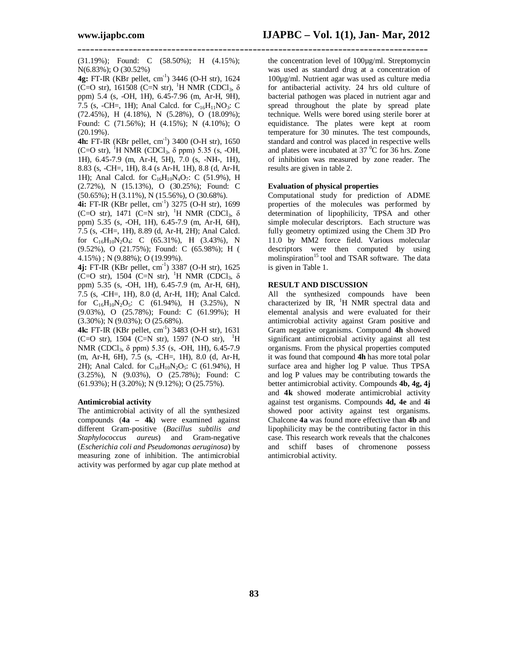**\_\_\_\_\_\_\_\_\_\_\_\_\_\_\_\_\_\_\_\_\_\_\_\_\_\_\_\_\_\_\_\_\_\_\_\_\_\_\_\_\_\_\_\_\_\_\_\_\_\_\_\_\_\_\_\_\_\_\_\_\_\_\_\_\_\_\_\_\_\_\_\_\_\_\_\_\_\_\_\_\_\_**

(31.19%); Found: C (58.50%); H (4.15%); N(6.83%); O (30.52%)

**4g:** FT-IR (KBr pellet, cm-1 ) 3446 (O-H str), 1624 (C=O str), 161508 (C=N str), <sup>1</sup>H NMR (CDCl<sub>3</sub>, δ ppm) 5.4 (s, -OH, 1H), 6.45-7.96 (m, Ar-H, 9H), 7.5 (s, -CH=, 1H); Anal Calcd. for  $C_{16}H_{11}NO_3$ : C (72.45%), H (4.18%), N (5.28%), O (18.09%); Found: C (71.56%); H (4.15%); N (4.10%); O (20.19%).

**4h:** FT-IR (KBr pellet, cm-1 ) 3400 (O-H str), 1650 (C=O str), <sup>1</sup>H NMR (CDCl<sub>3</sub>,  $\delta$  ppm) 5.35 (s, -OH, 1H), 6.45-7.9 (m, Ar-H, 5H), 7.0 (s, -NH-, 1H), 8.83 (s, -CH=, 1H), 8.4 (s Ar-H, 1H), 8.8 (d, Ar-H, 1H); Anal Calcd. for  $C_{16}H_{10}N_4O_7$ : C (51.9%), H (2.72%), N (15.13%), O (30.25%); Found: C (50.65%); H (3.11%), N (15.56%), O (30.68%).

**4i:** FT-IR (KBr pellet, cm-1 ) 3275 (O-H str), 1699 (C=O str), 1471 (C=N str), <sup>1</sup>H NMR (CDCl<sub>3</sub>,  $\delta$ ppm) 5.35 (s, -OH, 1H), 6.45-7.9 (m, Ar-H, 6H), 7.5 (s, -CH=, 1H), 8.89 (d, Ar-H, 2H); Anal Calcd. for  $C_{16}H_{10}N_2O_4$ : C (65.31%), H (3.43%), N (9.52%), O (21.75%); Found: C (65.98%); H ( 4.15%) ; N (9.88%); O (19.99%).

**4j:** FT-IR (KBr pellet, cm-1 ) 3387 (O-H str), 1625 (C=O str),  $1504$  (C=N str), <sup>1</sup>H NMR (CDCl<sub>3</sub>,  $\delta$ ppm) 5.35 (s, -OH, 1H), 6.45-7.9 (m, Ar-H, 6H), 7.5 (s, -CH=, 1H), 8.0 (d, Ar-H, 1H); Anal Calcd. for  $C_{16}H_{10}N_2O_5$ : C (61.94%), H (3.25%), N (9.03%), O (25.78%); Found: C (61.99%); H (3.30%); N (9.03%); O (25.68%).

**4k:** FT-IR (KBr pellet, cm-1 ) 3483 (O-H str), 1631  $(C=O \text{ str})$ , 1504  $(C=N \text{ str})$ , 1597 (N-O str), <sup>1</sup>H NMR (CDCl3, δ ppm) 5.35 (s, -OH, 1H), 6.45-7.9 (m, Ar-H, 6H), 7.5 (s, -CH=, 1H), 8.0 (d, Ar-H, 2H); Anal Calcd. for  $C_{16}H_{10}N_2O_5$ : C (61.94%), H (3.25%), N (9.03%), O (25.78%); Found: C (61.93%); H (3.20%); N (9.12%); O (25.75%).

#### **Antimicrobial activity**

The antimicrobial activity of all the synthesized compounds (**4a – 4k**) were examined against different Gram-positive (*Bacillus subtilis and Staphylococcus aureus*) and Gram-negative (*Escherichia coli and Pseudomonas aeruginosa*) by measuring zone of inhibition. The antimicrobial activity was performed by agar cup plate method at the concentration level of 100µg/ml. Streptomycin was used as standard drug at a concentration of 100µg/ml. Nutrient agar was used as culture media for antibacterial activity. 24 hrs old culture of bacterial pathogen was placed in nutrient agar and spread throughout the plate by spread plate technique. Wells were bored using sterile borer at equidistance. The plates were kept at room temperature for 30 minutes. The test compounds, standard and control was placed in respective wells and plates were incubated at  $37<sup>0</sup>C$  for  $36$  hrs. Zone of inhibition was measured by zone reader. The results are given in table 2.

#### **Evaluation of physical properties**

Computational study for prediction of ADME properties of the molecules was performed by determination of lipophilicity, TPSA and other simple molecular descriptors. Each structure was fully geometry optimized using the Chem 3D Pro 11.0 by MM2 force field. Various molecular descriptors were then computed by using molinspiration<sup>15</sup> tool and TSAR software. The data is given in Table 1.

#### **RESULT AND DISCUSSION**

All the synthesized compounds have been characterized by IR,  $^{1}$ H NMR spectral data and elemental analysis and were evaluated for their antimicrobial activity against Gram positive and Gram negative organisms. Compound **4h** showed significant antimicrobial activity against all test organisms. From the physical properties computed it was found that compound **4h** has more total polar surface area and higher log P value. Thus TPSA and log P values may be contributing towards the better antimicrobial activity. Compounds **4b, 4g, 4j** and **4k** showed moderate antimicrobial activity against test organisms. Compounds **4d, 4e** and **4i** showed poor activity against test organisms. Chalcone **4a** was found more effective than **4b** and lipophilicity may be the contributing factor in this case. This research work reveals that the chalcones and schiff bases of chromenone possess antimicrobial activity.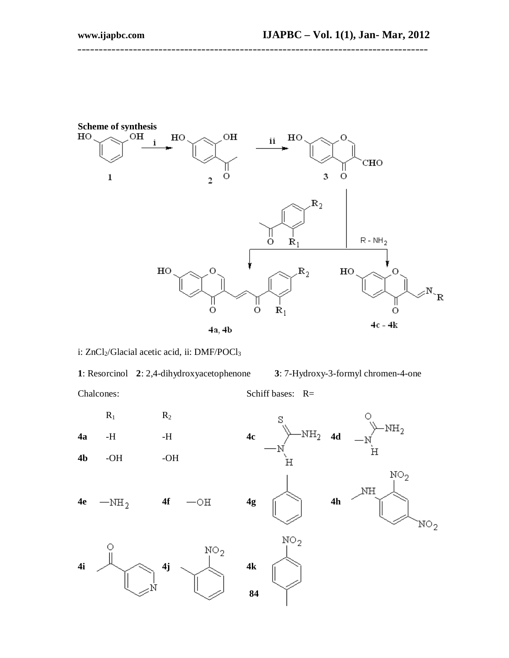

**\_\_\_\_\_\_\_\_\_\_\_\_\_\_\_\_\_\_\_\_\_\_\_\_\_\_\_\_\_\_\_\_\_\_\_\_\_\_\_\_\_\_\_\_\_\_\_\_\_\_\_\_\_\_\_\_\_\_\_\_\_\_\_\_\_\_\_\_\_\_\_\_\_\_\_\_\_\_\_\_\_\_**

### i: ZnCl<sub>2</sub>/Glacial acetic acid, ii: DMF/POCl<sub>3</sub>

**1**: Resorcinol **2**: 2,4-dihydroxyacetophenone **3**: 7-Hydroxy-3-formyl chromen-4-one Chalcones: Schiff bases: R=

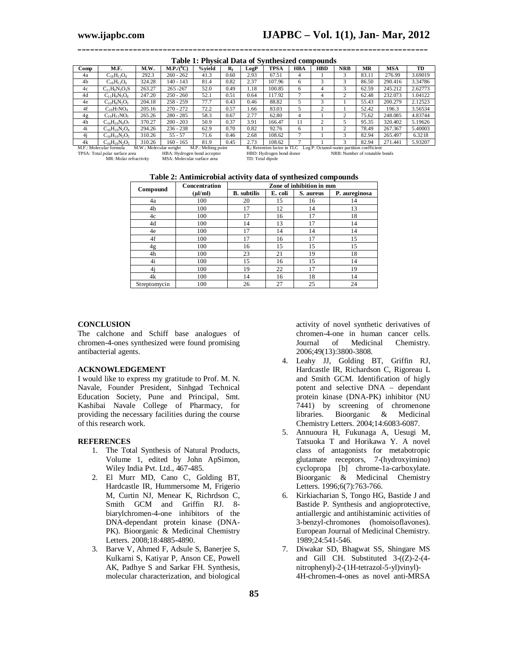| Comp                                                                                                                                                            | M.F.                 | M.W.   | $M.P/(^0C)$ | %vield | $R_f$ | LogP | <b>TPSA</b> | <b>HBA</b> | <b>HBD</b> | <b>NRB</b>    | MR    | <b>MSA</b> | TD      |
|-----------------------------------------------------------------------------------------------------------------------------------------------------------------|----------------------|--------|-------------|--------|-------|------|-------------|------------|------------|---------------|-------|------------|---------|
| 4a                                                                                                                                                              | $C_{18}H_{12}O_4$    | 292.3  | $260 - 262$ | 41.3   | 0.60  | 2.93 | 67.51       | 4          |            | 3             | 83.11 | 276.99     | 3.69019 |
| 4 <sub>b</sub>                                                                                                                                                  | $C_{18}H_{12}O_6$    | 324.28 | 140 - 143   | 81.4   | 0.82  | 2.37 | 107.96      | 6          |            | 3             | 86.50 | 290.416    | 3.34786 |
| 4c                                                                                                                                                              | $C_{11}H_9N_3O_3S$   | 263.27 | $265 - 267$ | 52.0   | 0.49  | 1.18 | 100.85      | 6          | 4          | 3             | 62.59 | 245.212    | 2.62773 |
| 4d                                                                                                                                                              | $C_{11}H_9N_3O_4$    | 247.20 | $250 - 260$ | 52.1   | 0.51  | 0.64 | 117.92      |            | 4          | 2             | 62.48 | 232.073    | 1.04122 |
| 4e                                                                                                                                                              | $C_{10}H_8N_2O_3$    | 204.18 | $258 - 259$ | 77.7   | 0.43  | 0.46 | 88.82       |            |            |               | 55.43 | 200.279    | 2.12523 |
| 4f                                                                                                                                                              | $C_{10}H_7NO_4$      | 205.16 | $270 - 272$ | 72.2   | 0.57  | 1.66 | 83.03       |            |            |               | 52.42 | 196.3      | 3.56534 |
| 4g                                                                                                                                                              | $C_{16}H_{11}NO_3$   | 265.26 | $280 - 285$ | 58.3   | 0.67  | 2.77 | 62.80       | 4          |            | 2             | 75.62 | 248.085    | 4.83744 |
| 4h                                                                                                                                                              | $C_{16}H_{10}N_4O_7$ | 370.27 | $200 - 203$ | 50.9   | 0.37  | 3.91 | 166.47      | 11         |            |               | 95.35 | 320.402    | 5.19626 |
| 4i                                                                                                                                                              | $C_{16}H_{10}N_2O_4$ | 294.26 | $236 - 238$ | 62.9   | 0.70  | 0.82 | 92.76       | 6          |            | 2             | 78.49 | 267.367    | 5.40003 |
| 4i                                                                                                                                                              | $C_{16}H_{10}N_2O_5$ | 310.26 | $55 - 57$   | 71.6   | 0.46  | 2.68 | 108.62      |            |            | 3             | 82.94 | 265.497    | 6.3218  |
| 4k                                                                                                                                                              | $C_{16}H_{10}N_2O_5$ | 310.26 | $160 - 165$ | 81.9   | 0.45  | 2.73 | 108.62      |            |            | $\mathcal{R}$ | 82.94 | 271.441    | 5.93207 |
| M.F.: Molecular formula<br>M.W.: Molecular weight<br>M.P.: Melting point<br>R <sub>f</sub> : Retention factor in TLC Log P: Octanol-water partition coefficient |                      |        |             |        |       |      |             |            |            |               |       |            |         |

**\_\_\_\_\_\_\_\_\_\_\_\_\_\_\_\_\_\_\_\_\_\_\_\_\_\_\_\_\_\_\_\_\_\_\_\_\_\_\_\_\_\_\_\_\_\_\_\_\_\_\_\_\_\_\_\_\_\_\_\_\_\_\_\_\_\_\_\_\_\_\_\_\_\_\_\_\_\_\_\_\_\_ Table 1: Physical Data of Synthesized compounds**

MSA: Molecular surface area

TPSA: Total polar surface area HBA: Hydrogen bond acceptor HBD: Hydrogen bond donor NRB: Number of rotatable bonds<br>MR: Molar refractivity MSA: Molecular surface area TD: Total dipole

| Table 2: Antimicrobial activity data of synthesized compounds |  |  |
|---------------------------------------------------------------|--|--|
|                                                               |  |  |

|              | Concentration | Zone of inhibition in mm |         |           |               |  |  |
|--------------|---------------|--------------------------|---------|-----------|---------------|--|--|
| Compound     | $(\mu$ l/ml)  | <b>B.</b> subtilis       | E. coli | S. aureus | P. aureginosa |  |  |
| 4a           | 100           | 20                       | 15      | 16        | 14            |  |  |
| 4b           | 100           | 17                       | 12      | 14        | 13            |  |  |
| 4c           | 100           | 17                       | 16      | 17        | 18            |  |  |
| 4d           | 100           | 14                       | 13      | 17        | 14            |  |  |
| 4e           | 100           | 17                       | 14      | 14        | 14            |  |  |
| 4f           | 100           | 17                       | 16      | 17        | 15            |  |  |
| 4g           | 100           | 16                       | 15      | 15        | 15            |  |  |
| 4h           | 100           | 23                       | 21      | 19        | 18            |  |  |
| 4i           | 100           | 15                       | 16      | 15        | 14            |  |  |
| 4j           | 100           | 19                       | 22      | 17        | 19            |  |  |
| 4k           | 100           | 14                       | 16      | 18        | 14            |  |  |
| Streptomycin | 100           | 26                       | 27      | 25        | 24            |  |  |

#### **CONCLUSION**

The calchone and Schiff base analogues of chromen-4-ones synthesized were found promising antibacterial agents.

#### **ACKNOWLEDGEMENT**

I would like to express my gratitude to Prof. M. N. Navale, Founder President, Sinhgad Technical Education Society, Pune and Principal, Smt. Kashibai Navale College of Pharmacy, for providing the necessary facilities during the course of this research work.

#### **REFERENCES**

- 1. The Total Synthesis of Natural Products, Volume 1, edited by John ApSimon, Wiley India Pvt. Ltd., 467-485.
- 2. El Murr MD, Cano C, Golding BT, Hardcastle IR, Hummersome M, Frigerio M, Curtin NJ, Menear K, Richrdson C, Smith GCM and Griffin RJ. 8 biarylchromen-4-one inhibitors of the DNA-dependant protein kinase (DNA-PK). Bioorganic & Medicinal Chemistry Letters. 2008;18:4885-4890.
- 3. Barve V, Ahmed F, Adsule S, Banerjee S, Kulkarni S, Katiyar P, Anson CE, Powell AK, Padhye S and Sarkar FH. Synthesis, molecular characterization, and biological

activity of novel synthetic derivatives of chromen-4-one in human cancer cells.<br>Journal of Medicinal Chemistry. Journal of Medicinal Chemistry. 2006;49(13):3800-3808.

- 4. Leahy JJ, Golding BT, Griffin RJ, Hardcastle IR, Richardson C, Rigoreau L and Smith GCM. Identification of higly potent and selective DNA – dependant protein kinase (DNA-PK) inhibitor (NU 7441) by screening of chromenone libraries. Bioorganic & Medicinal Chemistry Letters. 2004;14:6083-6087.
- 5. Annuoura H, Fukunaga A, Uesugi M, Tatsuoka T and Horikawa Y. A novel class of antagonists for metabotropic glutamate receptors, 7-(hydroxyimino) cyclopropa [b] chrome-1a-carboxylate. Bioorganic & Medicinal Chemistry Letters. 1996;6(7):763-766.
- 6. Kirkiacharian S, Tongo HG, Bastide J and Bastide P. Synthesis and angioprotective, antiallergic and antihistaminic activities of 3-benzyl-chromones (homoisoflavones). European Journal of Medicinal Chemistry. 1989;24:541-546.
- 7. Diwakar SD, Bhagwat SS, Shingare MS and Gill CH. Substituted 3-((Z)-2-(4 nitrophenyl)-2-(1H-tetrazol-5-yl)vinyl)- 4H-chromen-4-ones as novel anti-MRSA